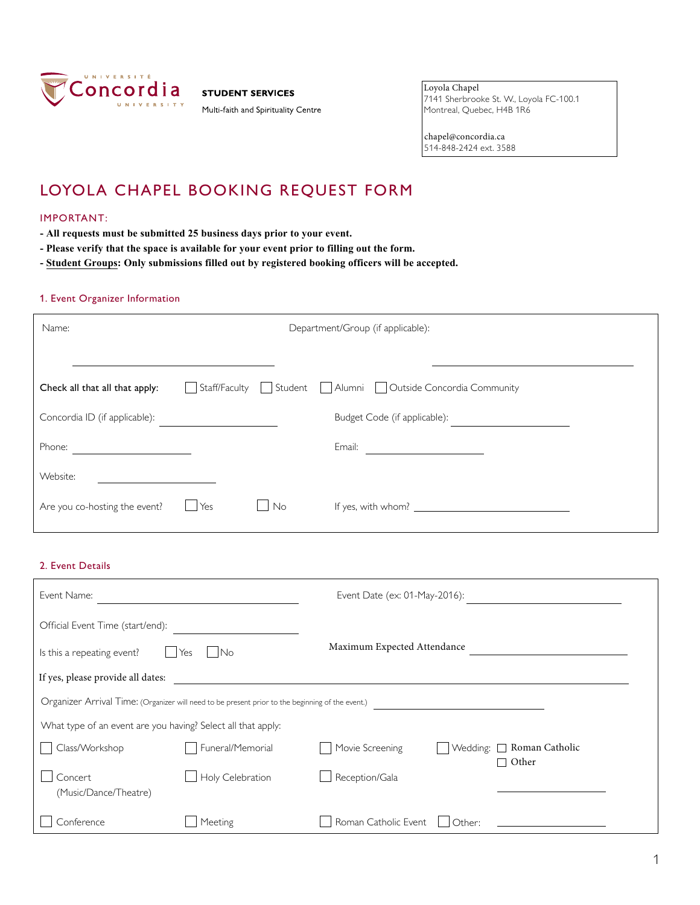

**STUDENT SERVICES** 

Multi-faith and Spirituality Centre

Loyola Chapel 7141 Sherbrooke St. W., Loyola FC-100.1 Montreal, Quebec, H4B 1R6

chapel@concordia.ca 514-848-2424 ext. 3588

## LOYOLA CHAPEL BOOKING REQUEST FORM

## IMPORTANT:

- **- All requests must be submitted 25 business days prior to your event.**
- **- Please verify that the space is available for your event prior to filling out the form.**
- **- Student Groups: Only submissions filled out by registered booking officers will be accepted.**

## 1. Event Organizer Information

| Name:                                                             | Department/Group (if applicable): |    |                                                                                                                                                                                                                                                |  |  |
|-------------------------------------------------------------------|-----------------------------------|----|------------------------------------------------------------------------------------------------------------------------------------------------------------------------------------------------------------------------------------------------|--|--|
|                                                                   |                                   |    |                                                                                                                                                                                                                                                |  |  |
| Check all that all that apply:                                    |                                   |    | Staff/Faculty Student Alumni Outside Concordia Community                                                                                                                                                                                       |  |  |
| Concordia ID (if applicable):                                     |                                   |    | Budget Code (if applicable):                                                                                                                                                                                                                   |  |  |
| Phone:<br><u> 1990 - Andrea State Barbara, política establece</u> |                                   |    | Email:<br><u> 1989 - Jan Stern Stern Stern Stern Stern Stern Stern Stern Stern Stern Stern Stern Stern Stern Stern Stern Stern Stern Stern Stern Stern Stern Stern Stern Stern Stern Stern Stern Stern Stern Stern Stern Stern Stern Stern</u> |  |  |
| Website:                                                          |                                   |    |                                                                                                                                                                                                                                                |  |  |
| Are you co-hosting the event?                                     | l Yes                             | No | If yes, with whom? $\sqrt{ }$                                                                                                                                                                                                                  |  |  |

## 2. Event Details

| Event Name:                                                  |                                                                                                  | Event Date (ex: 01-May-2016): |          |                           |
|--------------------------------------------------------------|--------------------------------------------------------------------------------------------------|-------------------------------|----------|---------------------------|
| Official Event Time (start/end):                             |                                                                                                  |                               |          |                           |
| Is this a repeating event?                                   | No<br>Yes                                                                                        | Maximum Expected Attendance   |          |                           |
| If yes, please provide all dates:                            |                                                                                                  |                               |          |                           |
|                                                              | Organizer Arrival Time: (Organizer will need to be present prior to the beginning of the event.) |                               |          |                           |
| What type of an event are you having? Select all that apply: |                                                                                                  |                               |          |                           |
| Class/Workshop                                               | Funeral/Memorial                                                                                 | Movie Screening               | Wedding: | □ Roman Catholic<br>Other |
| Concert<br>(Music/Dance/Theatre)                             | Holy Celebration                                                                                 | Reception/Gala                |          |                           |
| Conference                                                   | Meeting                                                                                          | Roman Catholic Event          | Other:   |                           |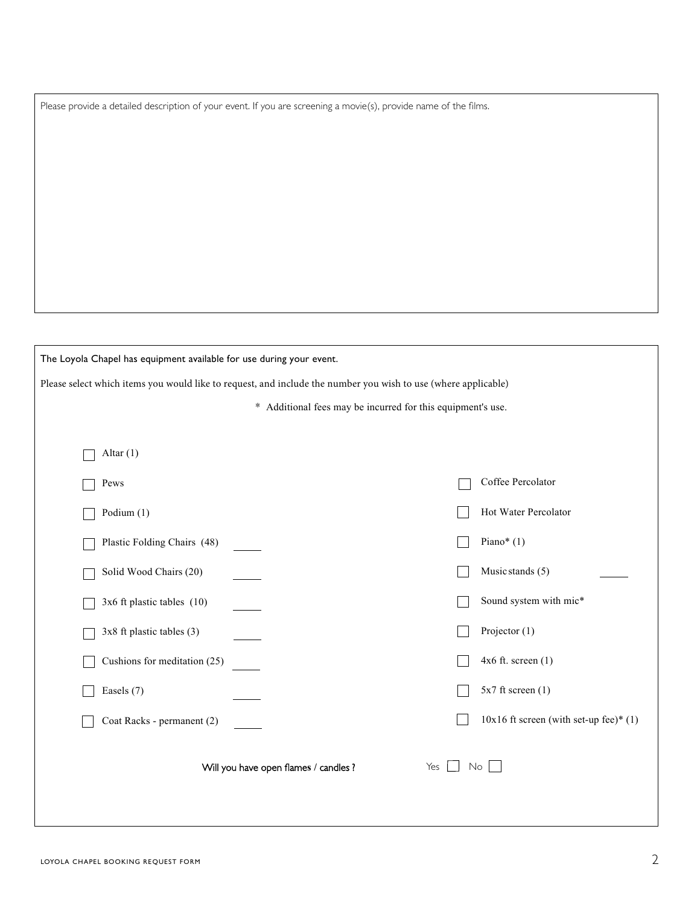Please provide a detailed description of your event. If you are screening a movie(s), provide name of the films.

| The Loyola Chapel has equipment available for use during your event.                                           |                                          |  |  |  |  |  |  |
|----------------------------------------------------------------------------------------------------------------|------------------------------------------|--|--|--|--|--|--|
| Please select which items you would like to request, and include the number you wish to use (where applicable) |                                          |  |  |  |  |  |  |
| * Additional fees may be incurred for this equipment's use.                                                    |                                          |  |  |  |  |  |  |
|                                                                                                                |                                          |  |  |  |  |  |  |
| Altar $(1)$                                                                                                    |                                          |  |  |  |  |  |  |
| Pews                                                                                                           | Coffee Percolator                        |  |  |  |  |  |  |
| Podium (1)                                                                                                     | Hot Water Percolator                     |  |  |  |  |  |  |
| Plastic Folding Chairs (48)                                                                                    | Piano* $(1)$                             |  |  |  |  |  |  |
| Solid Wood Chairs (20)                                                                                         | Music stands (5)                         |  |  |  |  |  |  |
| 3x6 ft plastic tables (10)                                                                                     | Sound system with mic*                   |  |  |  |  |  |  |
| 3x8 ft plastic tables (3)                                                                                      | Projector $(1)$                          |  |  |  |  |  |  |
| Cushions for meditation (25)                                                                                   | $4x6$ ft. screen $(1)$                   |  |  |  |  |  |  |
| Easels (7)                                                                                                     | $5x7$ ft screen $(1)$                    |  |  |  |  |  |  |
| Coat Racks - permanent (2)                                                                                     | $10x16$ ft screen (with set-up fee)* (1) |  |  |  |  |  |  |
| Will you have open flames / candles ?                                                                          | No<br>Yes                                |  |  |  |  |  |  |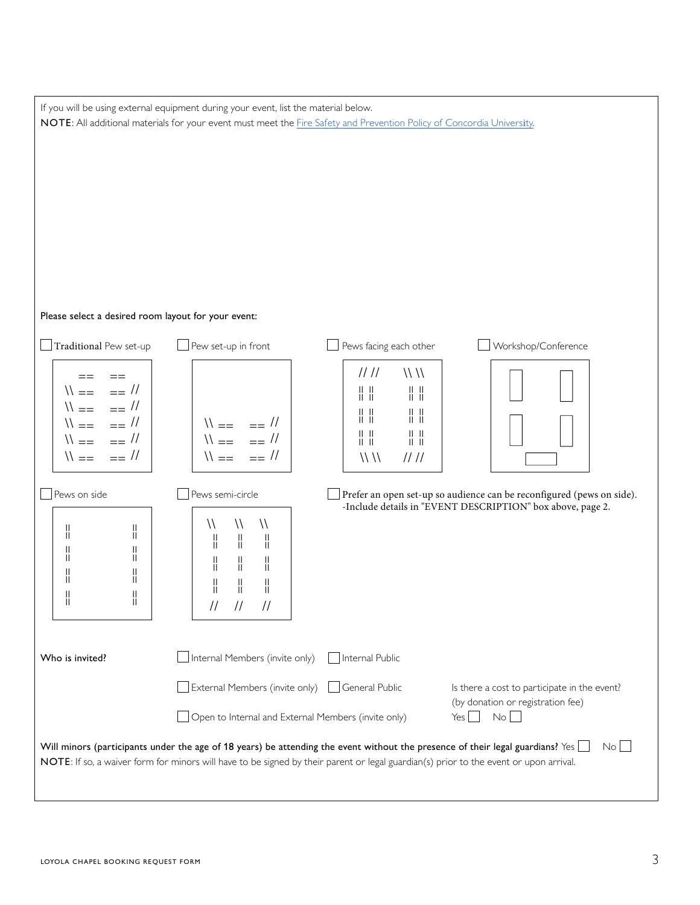